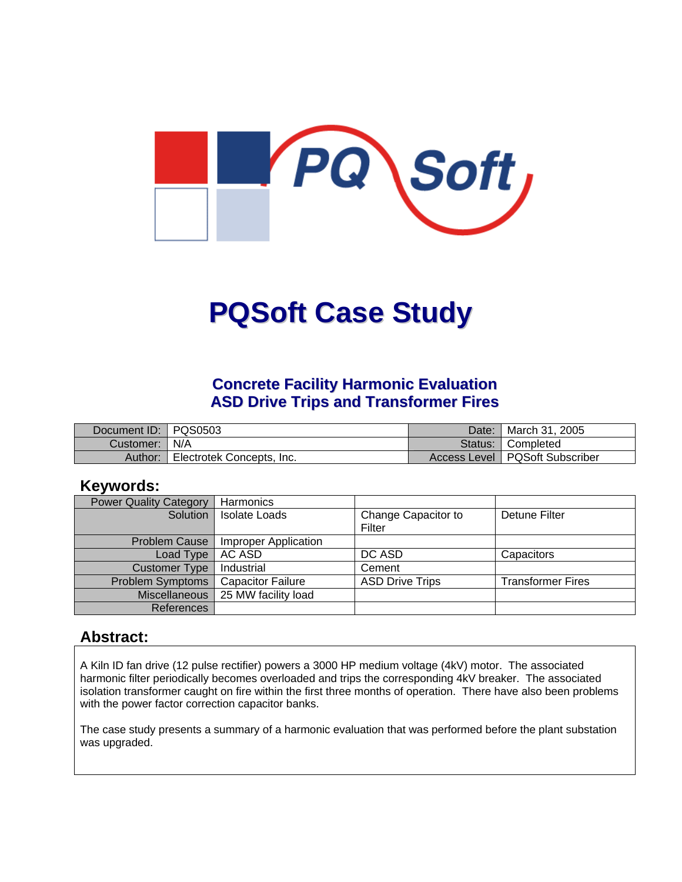

# **PQSoft Case Study**

# **Concrete Facility Harmonic Evaluation ASD Drive Trips and Transformer Fires**

| Document ID:   PQS0503 |                           | Date: | <sup>¶</sup> March 31, 2005      |
|------------------------|---------------------------|-------|----------------------------------|
| Customer:   N/A        |                           |       | Status: Completed                |
| Author:                | Electrotek Concepts, Inc. |       | Access Level   PQSoft Subscriber |

### **Keywords:**

| <b>Power Quality Category</b> | Harmonics                   |                               |                          |
|-------------------------------|-----------------------------|-------------------------------|--------------------------|
| Solution                      | <b>Isolate Loads</b>        | Change Capacitor to<br>Filter | Detune Filter            |
| <b>Problem Cause</b>          | <b>Improper Application</b> |                               |                          |
| Load Type                     | AC ASD                      | DC ASD                        | Capacitors               |
| <b>Customer Type</b>          | Industrial                  | Cement                        |                          |
| Problem Symptoms              | <b>Capacitor Failure</b>    | <b>ASD Drive Trips</b>        | <b>Transformer Fires</b> |
| Miscellaneous                 | 25 MW facility load         |                               |                          |
| References                    |                             |                               |                          |

### **Abstract:**

A Kiln ID fan drive (12 pulse rectifier) powers a 3000 HP medium voltage (4kV) motor. The associated harmonic filter periodically becomes overloaded and trips the corresponding 4kV breaker. The associated isolation transformer caught on fire within the first three months of operation. There have also been problems with the power factor correction capacitor banks.

The case study presents a summary of a harmonic evaluation that was performed before the plant substation was upgraded.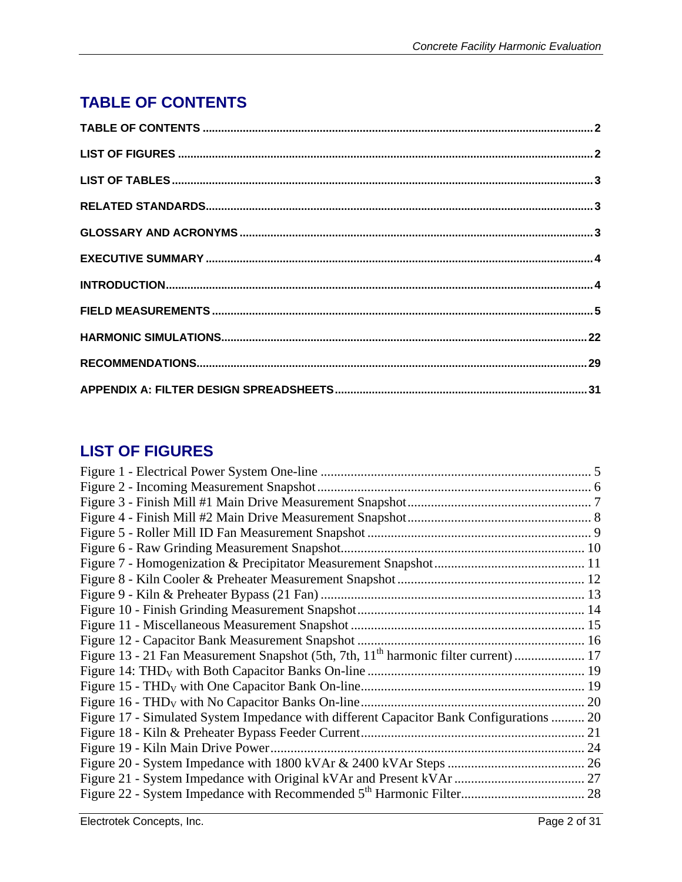# <span id="page-1-0"></span>**TABLE OF CONTENTS**

# **LIST OF FIGURES**

| Figure 13 - 21 Fan Measurement Snapshot (5th, 7th, 11 <sup>th</sup> harmonic filter current)  17 |  |
|--------------------------------------------------------------------------------------------------|--|
|                                                                                                  |  |
|                                                                                                  |  |
|                                                                                                  |  |
| Figure 17 - Simulated System Impedance with different Capacitor Bank Configurations  20          |  |
|                                                                                                  |  |
|                                                                                                  |  |
|                                                                                                  |  |
|                                                                                                  |  |
|                                                                                                  |  |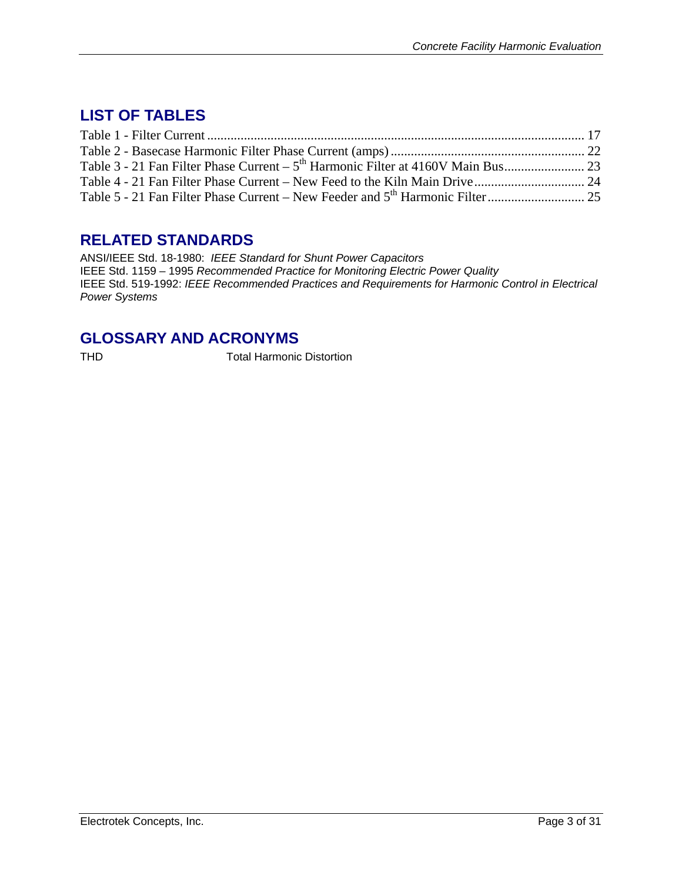# <span id="page-2-0"></span>**LIST OF TABLES**

# **RELATED STANDARDS**

ANSI/IEEE Std. 18-1980: *IEEE Standard for Shunt Power Capacitors* IEEE Std. 1159 – 1995 *Recommended Practice for Monitoring Electric Power Quality*  IEEE Std. 519-1992: *IEEE Recommended Practices and Requirements for Harmonic Control in Electrical Power Systems* 

### **GLOSSARY AND ACRONYMS**

THD **The Total Harmonic Distortion**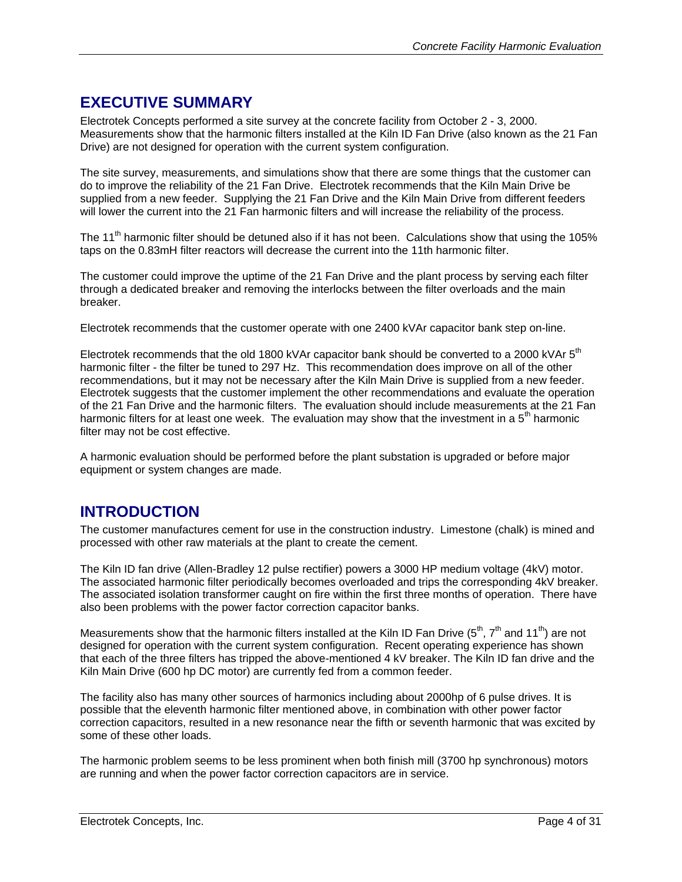# <span id="page-3-0"></span>**EXECUTIVE SUMMARY**

Electrotek Concepts performed a site survey at the concrete facility from October 2 - 3, 2000. Measurements show that the harmonic filters installed at the Kiln ID Fan Drive (also known as the 21 Fan Drive) are not designed for operation with the current system configuration.

The site survey, measurements, and simulations show that there are some things that the customer can do to improve the reliability of the 21 Fan Drive. Electrotek recommends that the Kiln Main Drive be supplied from a new feeder. Supplying the 21 Fan Drive and the Kiln Main Drive from different feeders will lower the current into the 21 Fan harmonic filters and will increase the reliability of the process.

The 11<sup>th</sup> harmonic filter should be detuned also if it has not been. Calculations show that using the 105% taps on the 0.83mH filter reactors will decrease the current into the 11th harmonic filter.

The customer could improve the uptime of the 21 Fan Drive and the plant process by serving each filter through a dedicated breaker and removing the interlocks between the filter overloads and the main breaker.

Electrotek recommends that the customer operate with one 2400 kVAr capacitor bank step on-line.

Electrotek recommends that the old 1800 kVAr capacitor bank should be converted to a 2000 kVAr  $5<sup>th</sup>$ harmonic filter - the filter be tuned to 297 Hz. This recommendation does improve on all of the other recommendations, but it may not be necessary after the Kiln Main Drive is supplied from a new feeder. Electrotek suggests that the customer implement the other recommendations and evaluate the operation of the 21 Fan Drive and the harmonic filters. The evaluation should include measurements at the 21 Fan harmonic filters for at least one week. The evaluation may show that the investment in a  $5<sup>th</sup>$  harmonic filter may not be cost effective.

A harmonic evaluation should be performed before the plant substation is upgraded or before major equipment or system changes are made.

# **INTRODUCTION**

The customer manufactures cement for use in the construction industry. Limestone (chalk) is mined and processed with other raw materials at the plant to create the cement.

The Kiln ID fan drive (Allen-Bradley 12 pulse rectifier) powers a 3000 HP medium voltage (4kV) motor. The associated harmonic filter periodically becomes overloaded and trips the corresponding 4kV breaker. The associated isolation transformer caught on fire within the first three months of operation. There have also been problems with the power factor correction capacitor banks.

Measurements show that the harmonic filters installed at the Kiln ID Fan Drive ( $5<sup>th</sup>$ ,  $7<sup>th</sup>$  and 11<sup>th</sup>) are not designed for operation with the current system configuration. Recent operating experience has shown that each of the three filters has tripped the above-mentioned 4 kV breaker. The Kiln ID fan drive and the Kiln Main Drive (600 hp DC motor) are currently fed from a common feeder.

The facility also has many other sources of harmonics including about 2000hp of 6 pulse drives. It is possible that the eleventh harmonic filter mentioned above, in combination with other power factor correction capacitors, resulted in a new resonance near the fifth or seventh harmonic that was excited by some of these other loads.

The harmonic problem seems to be less prominent when both finish mill (3700 hp synchronous) motors are running and when the power factor correction capacitors are in service.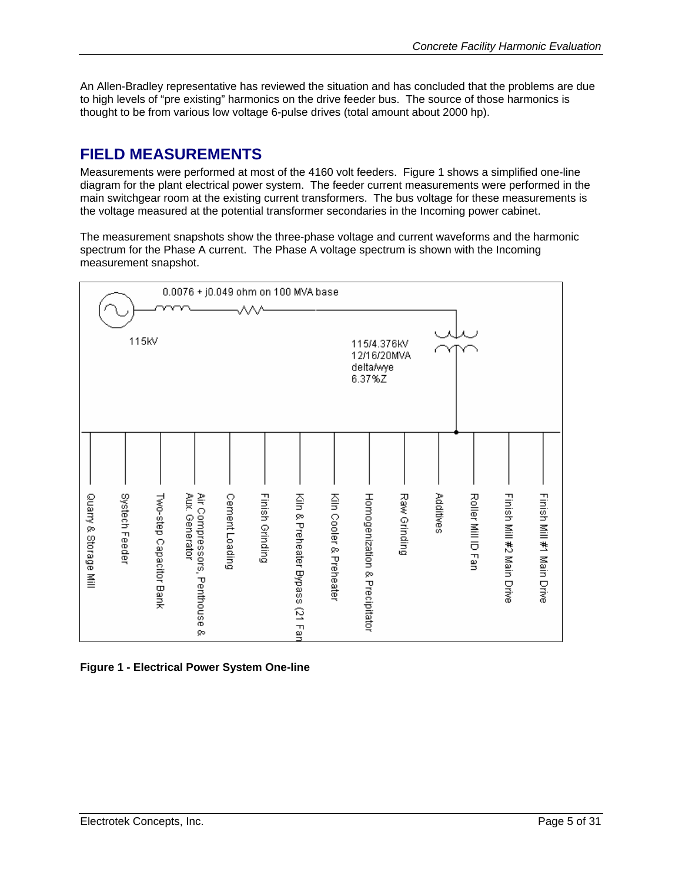<span id="page-4-0"></span>An Allen-Bradley representative has reviewed the situation and has concluded that the problems are due to high levels of "pre existing" harmonics on the drive feeder bus. The source of those harmonics is thought to be from various low voltage 6-pulse drives (total amount about 2000 hp).

# **FIELD MEASUREMENTS**

Measurements were performed at most of the 4160 volt feeders. [Figure 1](#page-4-1) shows a simplified one-line diagram for the plant electrical power system. The feeder current measurements were performed in the main switchgear room at the existing current transformers. The bus voltage for these measurements is the voltage measured at the potential transformer secondaries in the Incoming power cabinet.

The measurement snapshots show the three-phase voltage and current waveforms and the harmonic spectrum for the Phase A current. The Phase A voltage spectrum is shown with the Incoming measurement snapshot.



<span id="page-4-1"></span>**Figure 1 - Electrical Power System One-line**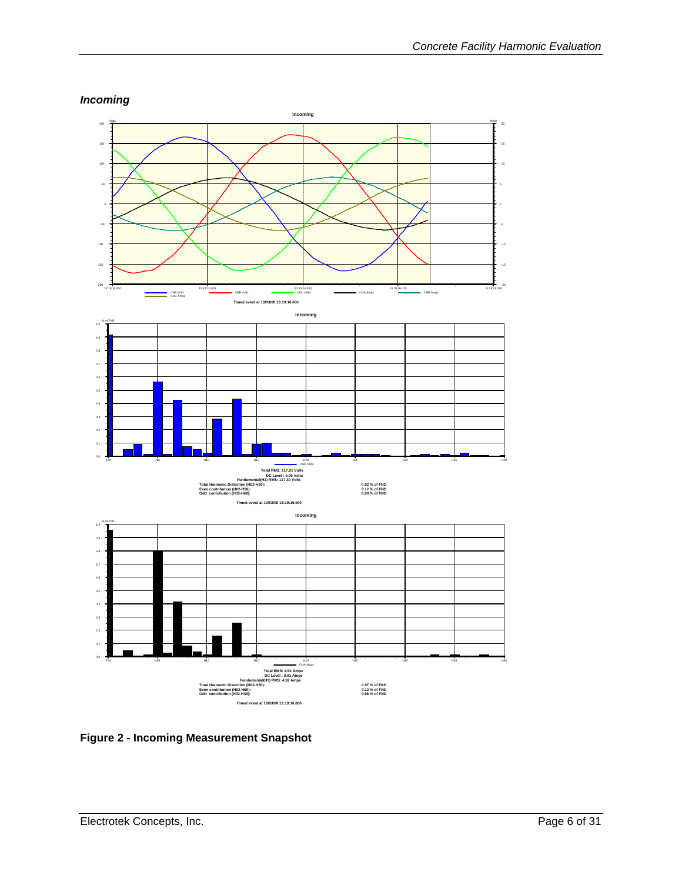#### <span id="page-5-0"></span>*Incoming*



**Figure 2 - Incoming Measurement Snapshot**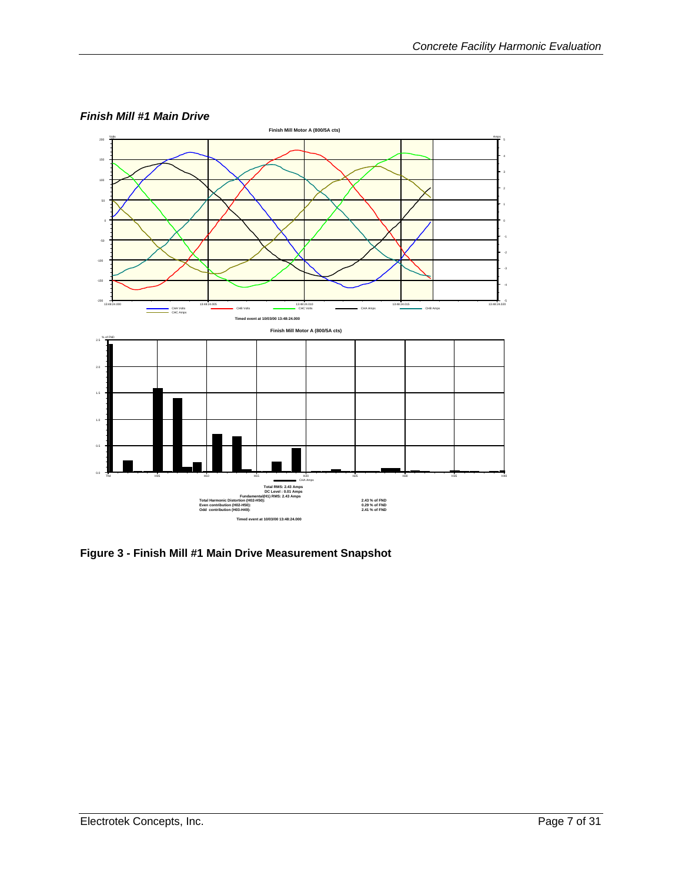

<span id="page-6-0"></span>*Finish Mill #1 Main Drive* 

**Figure 3 - Finish Mill #1 Main Drive Measurement Snapshot**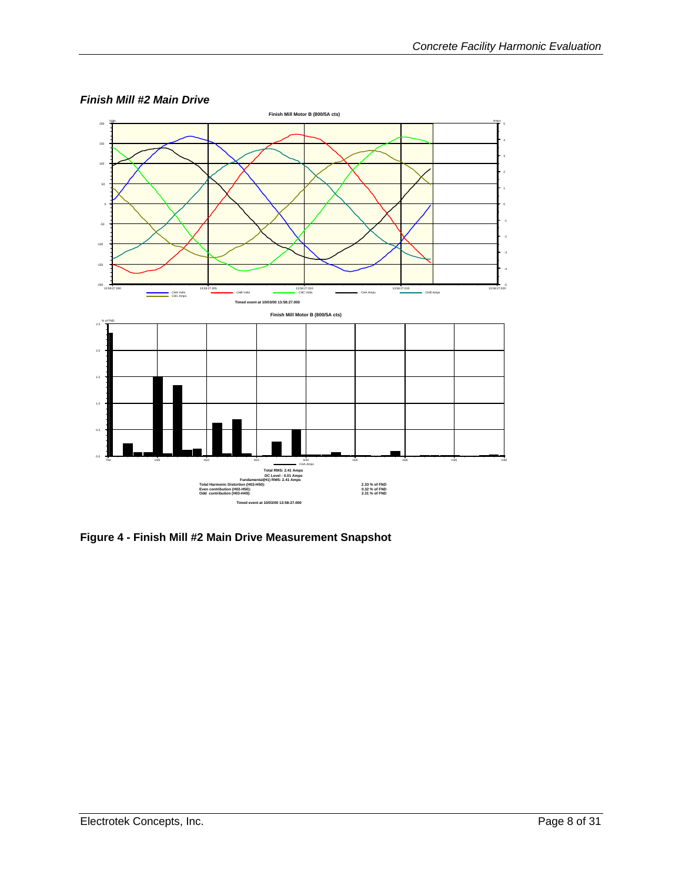

#### <span id="page-7-0"></span>*Finish Mill #2 Main Drive*

**Figure 4 - Finish Mill #2 Main Drive Measurement Snapshot**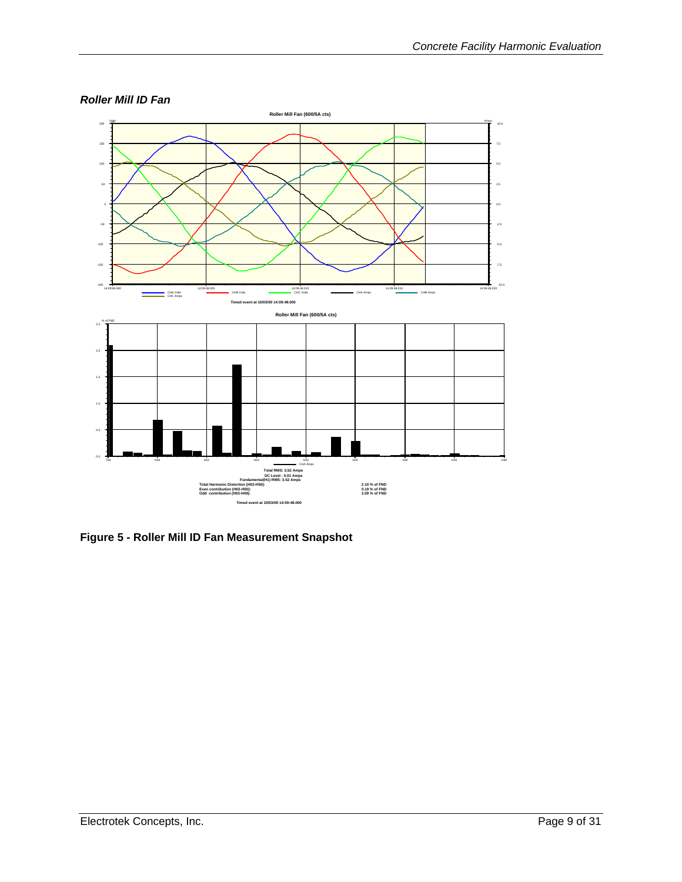<span id="page-8-0"></span>



**Figure 5 - Roller Mill ID Fan Measurement Snapshot**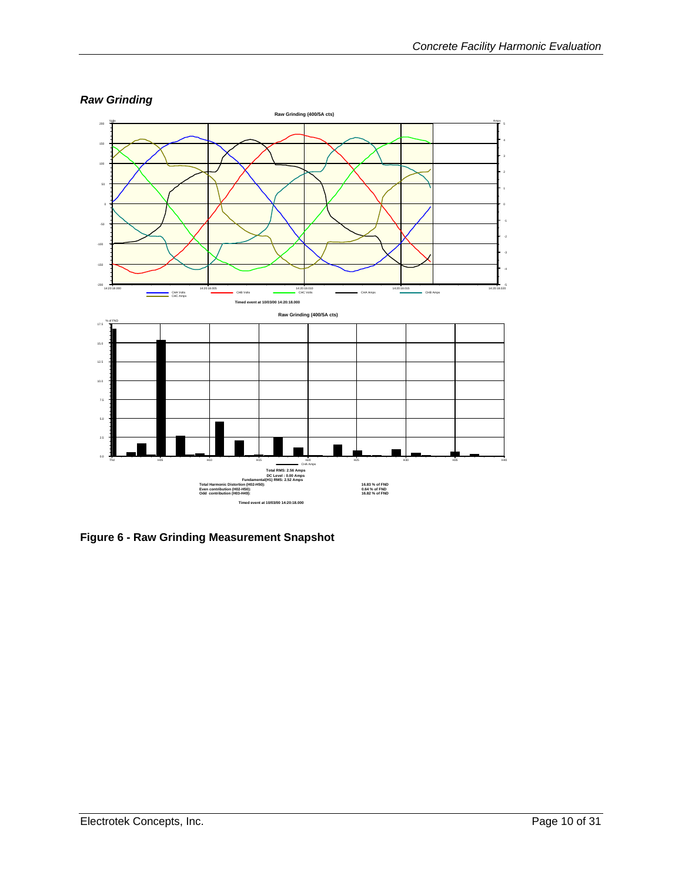#### <span id="page-9-0"></span>*Raw Grinding*



**Figure 6 - Raw Grinding Measurement Snapshot**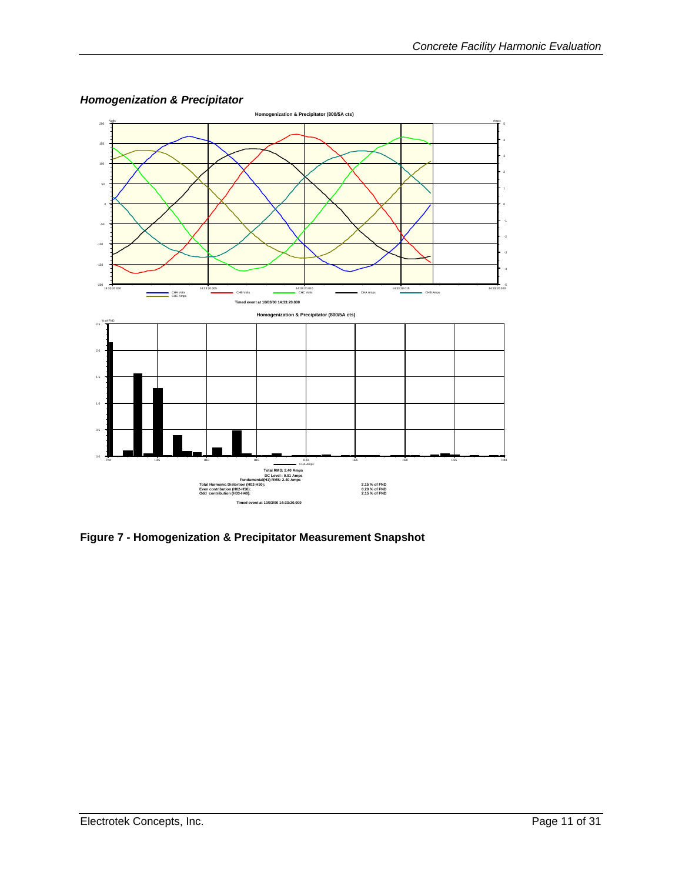

#### <span id="page-10-0"></span>*Homogenization & Precipitator*

**Figure 7 - Homogenization & Precipitator Measurement Snapshot**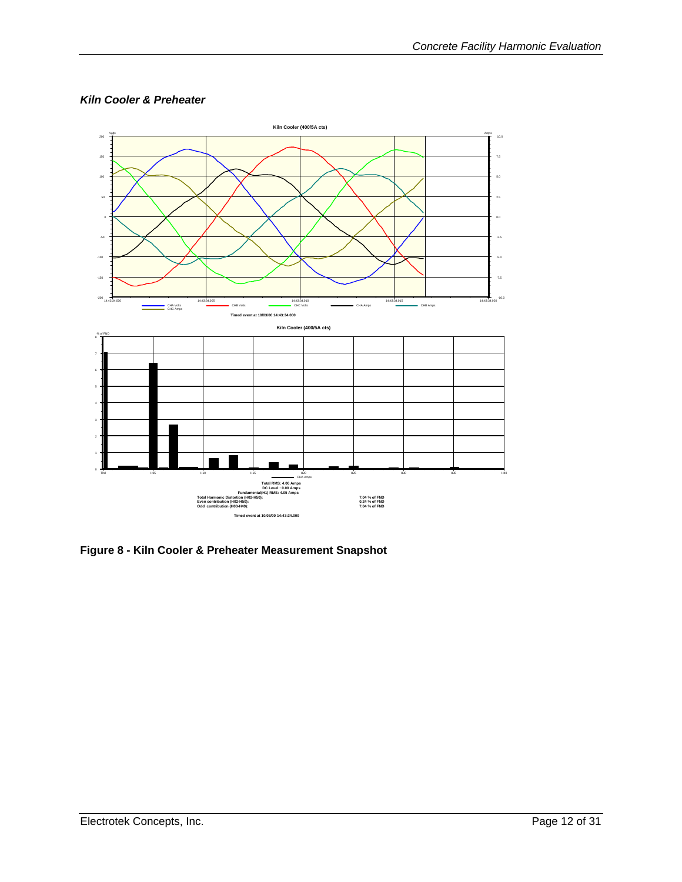#### <span id="page-11-0"></span>*Kiln Cooler & Preheater*



**Figure 8 - Kiln Cooler & Preheater Measurement Snapshot**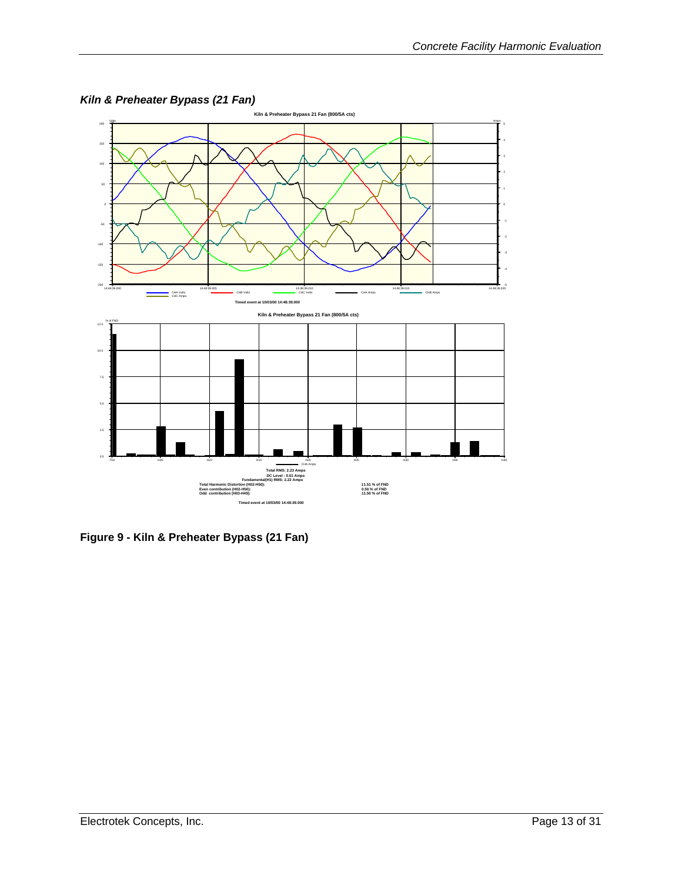

<span id="page-12-0"></span>*Kiln & Preheater Bypass (21 Fan)* 

**Figure 9 - Kiln & Preheater Bypass (21 Fan)**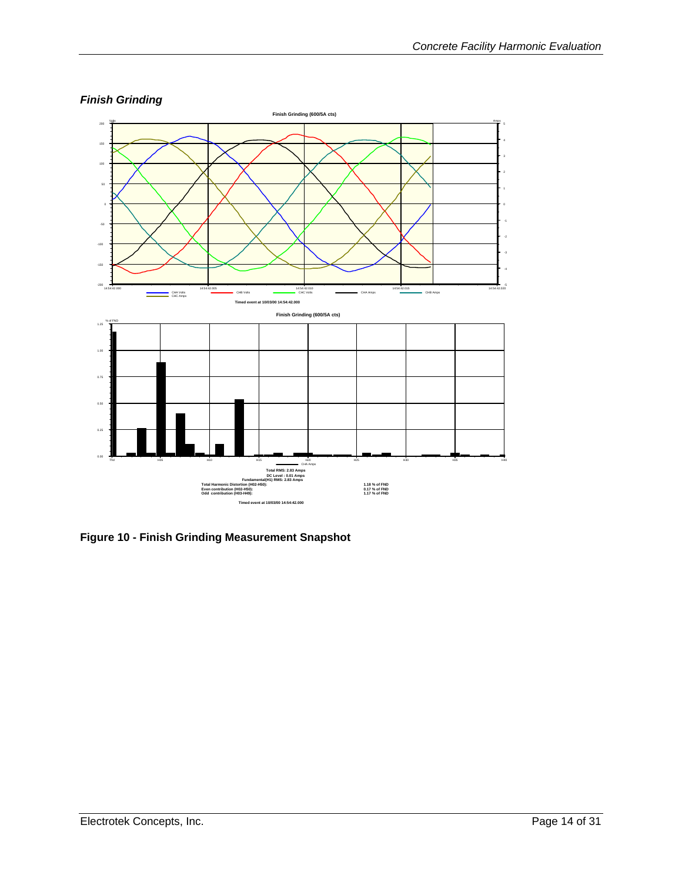3 4

-5 -4 -3 -2 -1 0



#### <span id="page-13-0"></span>*Finish Grinding*

**Figure 10 - Finish Grinding Measurement Snapshot**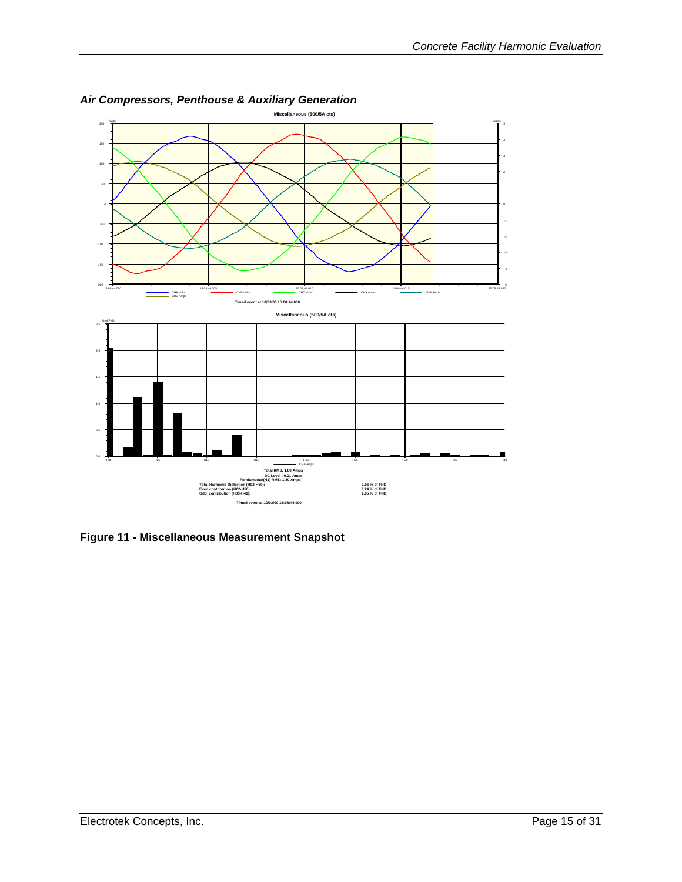

#### <span id="page-14-0"></span>*Air Compressors, Penthouse & Auxiliary Generation*

**Figure 11 - Miscellaneous Measurement Snapshot**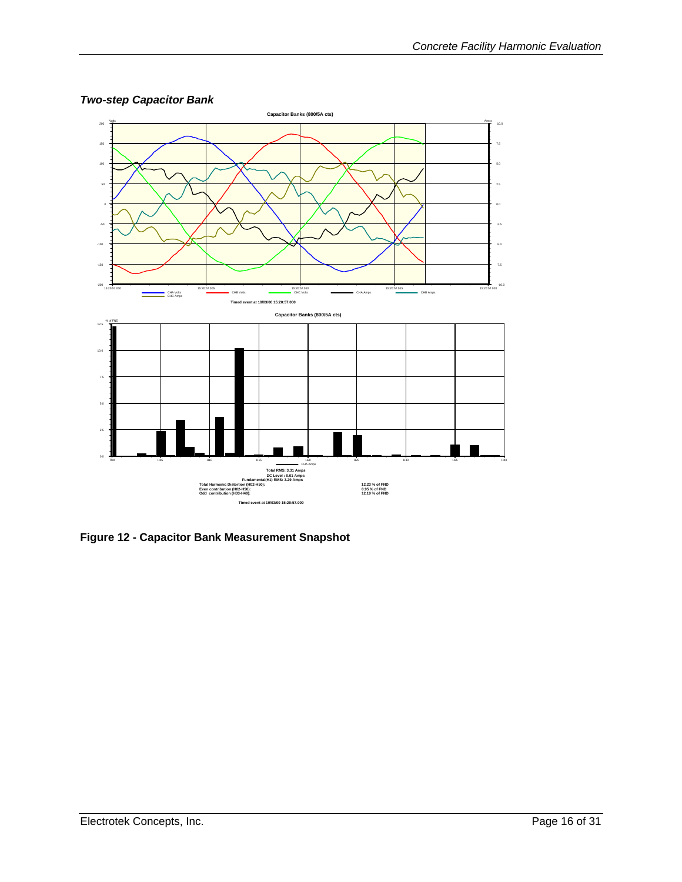

#### <span id="page-15-0"></span>*Two-step Capacitor Bank*

<span id="page-15-1"></span>**Figure 12 - Capacitor Bank Measurement Snapshot**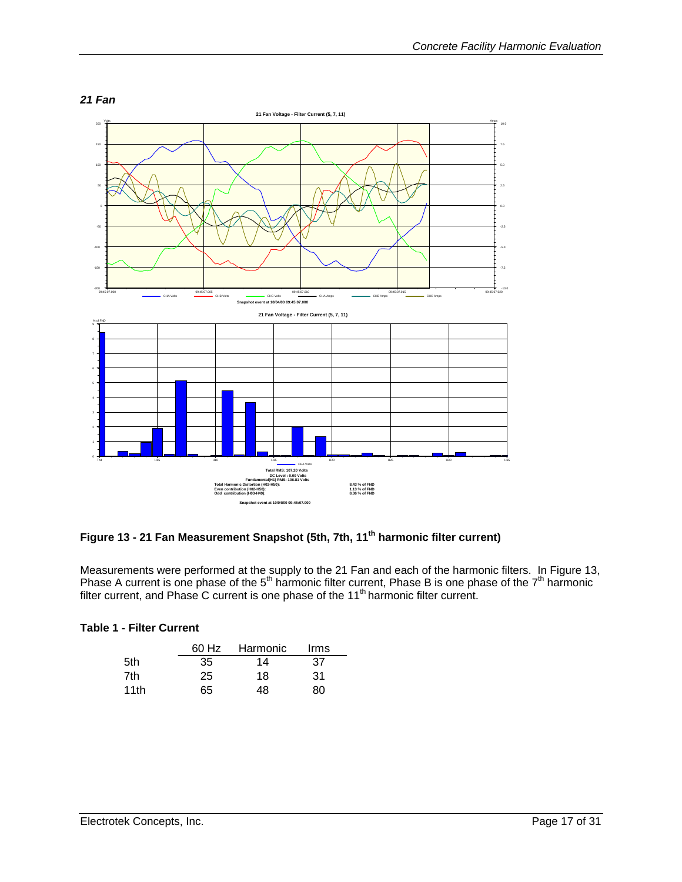

#### <span id="page-16-0"></span>*21 Fan*

# <span id="page-16-1"></span>**Figure 13 - 21 Fan Measurement Snapshot (5th, 7th, 11th harmonic filter current)**

Measurements were performed at the supply to the 21 Fan and each of the harmonic filters. In [Figure 13,](#page-16-1) Phase A current is one phase of the  $5<sup>th</sup>$  harmonic filter current, Phase B is one phase of the  $7<sup>th</sup>$  harmonic filter current, and Phase C current is one phase of the 11<sup>th</sup> harmonic filter current.

#### <span id="page-16-2"></span>**Table 1 - Filter Current**

|      | 60 Hz | Harmonic | Irms |  |
|------|-------|----------|------|--|
| 5th  | 35    | 14       | 37   |  |
| 7th  | 25    | 18       | .31  |  |
| 11th | 65    | 48       | 80   |  |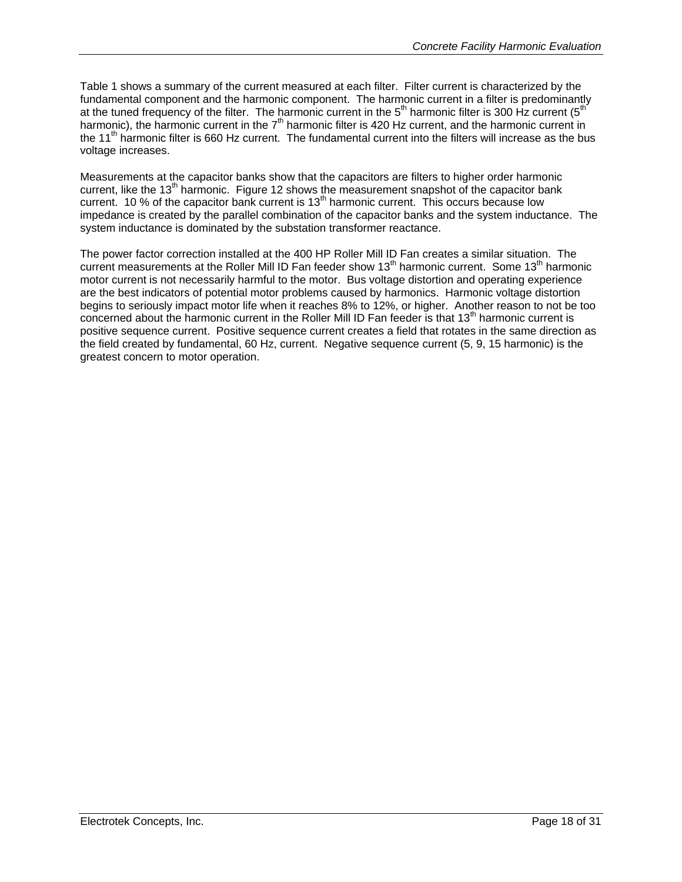[Table 1](#page-16-2) shows a summary of the current measured at each filter. Filter current is characterized by the fundamental component and the harmonic component. The harmonic current in a filter is predominantly at the tuned frequency of the filter. The harmonic current in the  $5<sup>th</sup>$  harmonic filter is 300 Hz current ( $5<sup>th</sup>$ ) harmonic), the harmonic current in the 7<sup>th</sup> harmonic filter is 420 Hz current, and the harmonic current in the 11<sup>th</sup> harmonic filter is 660 Hz current. The fundamental current into the filters will increase as the bus voltage increases.

Measurements at the capacitor banks show that the capacitors are filters to higher order harmonic current, like the 13<sup>th</sup> harmonic. [Figure 12](#page-15-1) shows the measurement snapshot of the capacitor bank current. 10 % of the capacitor bank current is  $13<sup>th</sup>$  harmonic current. This occurs because low impedance is created by the parallel combination of the capacitor banks and the system inductance. The system inductance is dominated by the substation transformer reactance.

The power factor correction installed at the 400 HP Roller Mill ID Fan creates a similar situation. The current measurements at the Roller Mill ID Fan feeder show 13<sup>th</sup> harmonic current. Some 13<sup>th</sup> harmonic motor current is not necessarily harmful to the motor. Bus voltage distortion and operating experience are the best indicators of potential motor problems caused by harmonics. Harmonic voltage distortion begins to seriously impact motor life when it reaches 8% to 12%, or higher. Another reason to not be too concerned about the harmonic current in the Roller Mill ID Fan feeder is that  $13<sup>th</sup>$  harmonic current is positive sequence current. Positive sequence current creates a field that rotates in the same direction as the field created by fundamental, 60 Hz, current. Negative sequence current (5, 9, 15 harmonic) is the greatest concern to motor operation.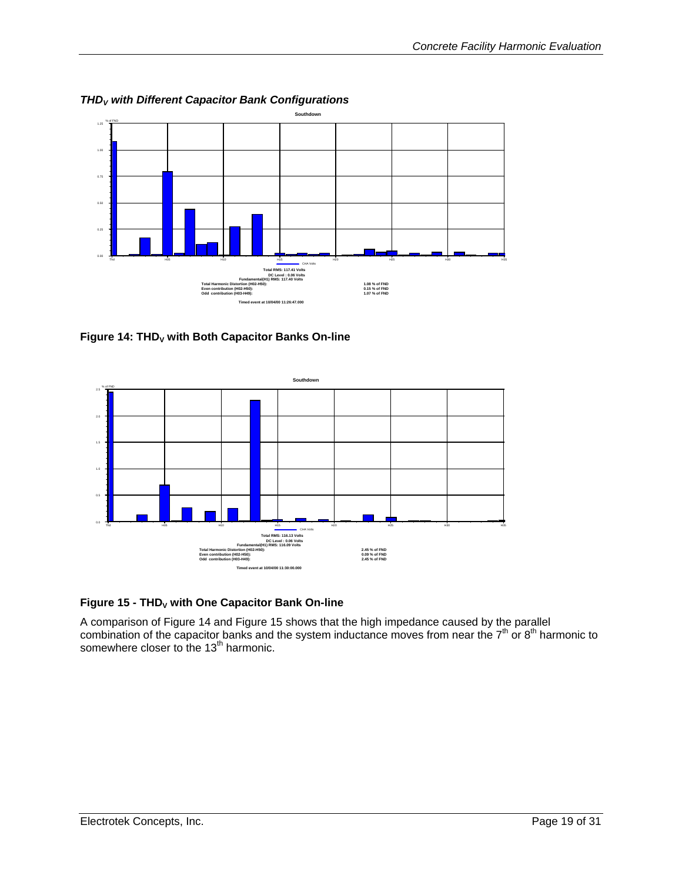

<span id="page-18-0"></span>*THD<sub>V</sub>* with Different Capacitor Bank Configurations

<span id="page-18-1"></span>Figure 14: THD<sub>V</sub> with Both Capacitor Banks On-line



#### <span id="page-18-2"></span>**Figure 15 - THD<sub>V</sub> with One Capacitor Bank On-line**

A comparison of [Figure 14](#page-18-1) and [Figure 15](#page-18-2) shows that the high impedance caused by the parallel combination of the capacitor banks and the system inductance moves from near the  $7<sup>th</sup>$  or  $8<sup>th</sup>$  harmonic to somewhere closer to the 13<sup>th</sup> harmonic.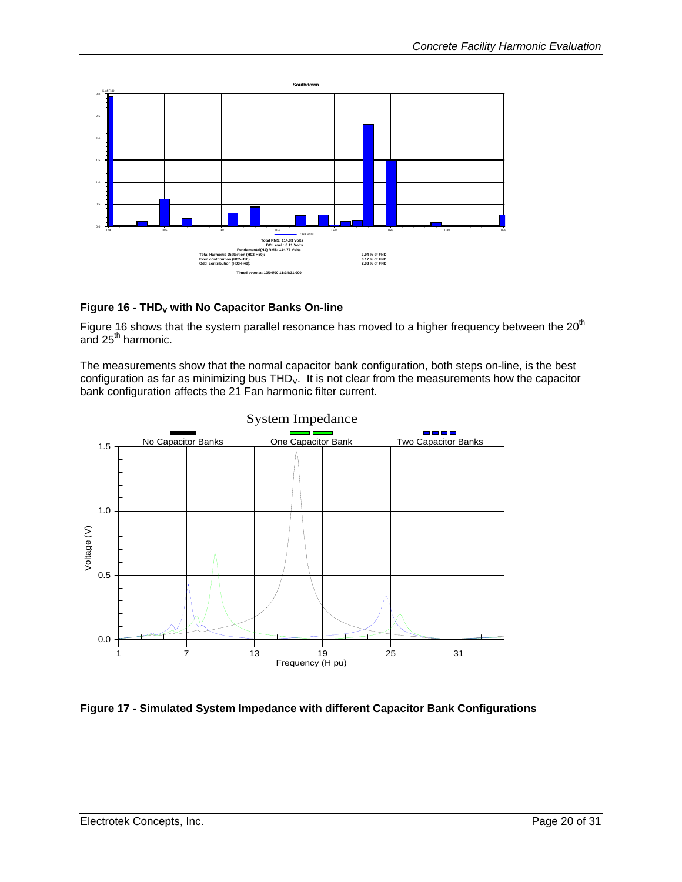<span id="page-19-0"></span>

#### <span id="page-19-1"></span>**Figure 16 - THD<sub>V</sub> with No Capacitor Banks On-line**

[Figure 16](#page-19-1) shows that the system parallel resonance has moved to a higher frequency between the  $20<sup>th</sup>$ and  $25<sup>th</sup>$  harmonic.

The measurements show that the normal capacitor bank configuration, both steps on-line, is the best configuration as far as minimizing bus  $THD<sub>V</sub>$ . It is not clear from the measurements how the capacitor bank configuration affects the 21 Fan harmonic filter current.



#### **Figure 17 - Simulated System Impedance with different Capacitor Bank Configurations**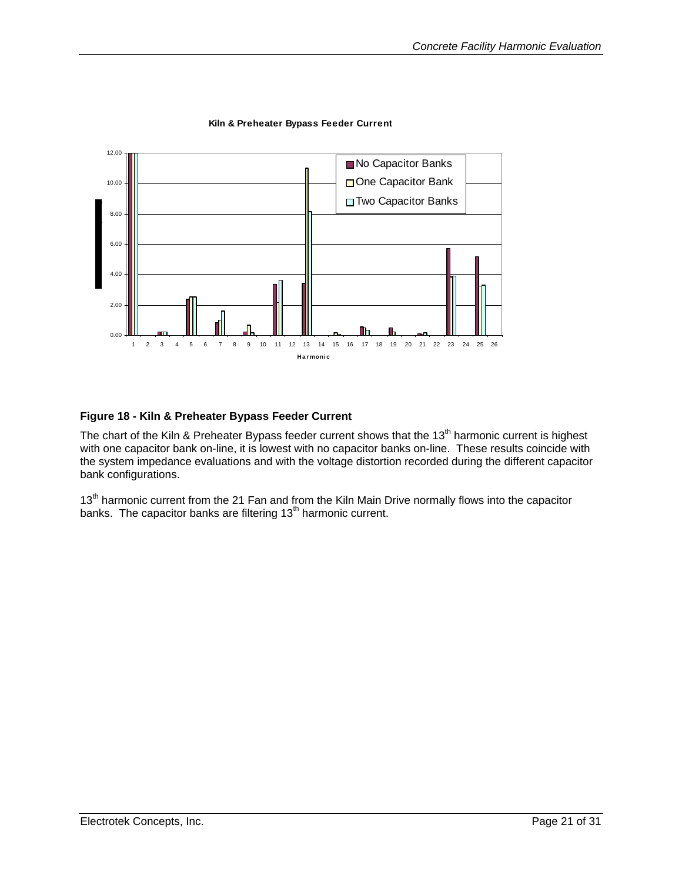<span id="page-20-0"></span>

#### **Kiln & Preheater Bypass Feeder Current**

#### **Figure 18 - Kiln & Preheater Bypass Feeder Current**

The chart of the Kiln & Preheater Bypass feeder current shows that the 13<sup>th</sup> harmonic current is highest with one capacitor bank on-line, it is lowest with no capacitor banks on-line. These results coincide with the system impedance evaluations and with the voltage distortion recorded during the different capacitor bank configurations.

13<sup>th</sup> harmonic current from the 21 Fan and from the Kiln Main Drive normally flows into the capacitor banks. The capacitor banks are filtering 13<sup>th</sup> harmonic current.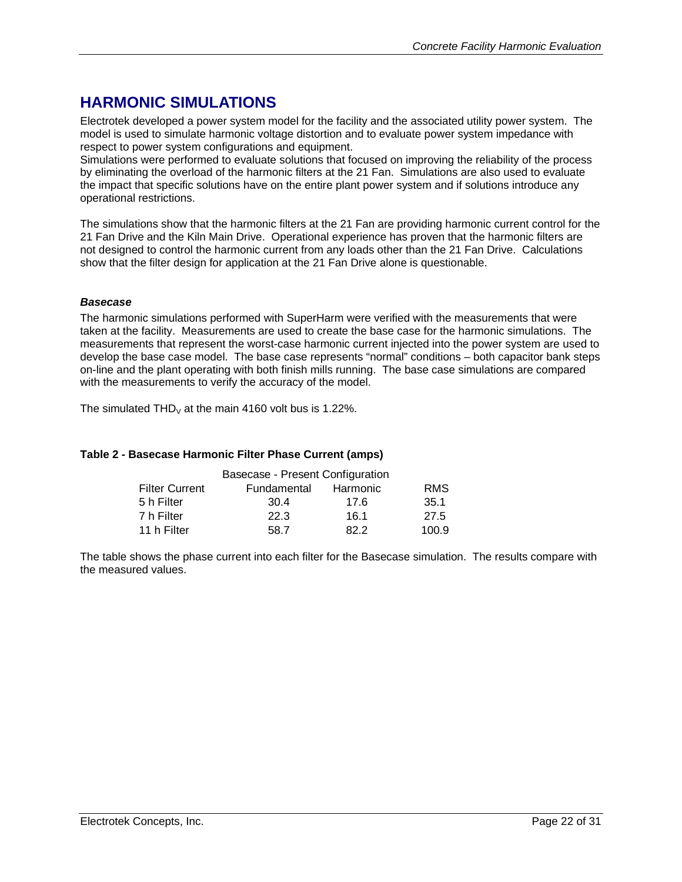# <span id="page-21-0"></span>**HARMONIC SIMULATIONS**

Electrotek developed a power system model for the facility and the associated utility power system. The model is used to simulate harmonic voltage distortion and to evaluate power system impedance with respect to power system configurations and equipment.

Simulations were performed to evaluate solutions that focused on improving the reliability of the process by eliminating the overload of the harmonic filters at the 21 Fan. Simulations are also used to evaluate the impact that specific solutions have on the entire plant power system and if solutions introduce any operational restrictions.

The simulations show that the harmonic filters at the 21 Fan are providing harmonic current control for the 21 Fan Drive and the Kiln Main Drive. Operational experience has proven that the harmonic filters are not designed to control the harmonic current from any loads other than the 21 Fan Drive. Calculations show that the filter design for application at the 21 Fan Drive alone is questionable.

#### *Basecase*

The harmonic simulations performed with SuperHarm were verified with the measurements that were taken at the facility. Measurements are used to create the base case for the harmonic simulations. The measurements that represent the worst-case harmonic current injected into the power system are used to develop the base case model. The base case represents "normal" conditions – both capacitor bank steps on-line and the plant operating with both finish mills running. The base case simulations are compared with the measurements to verify the accuracy of the model.

The simulated THD<sub>V</sub> at the main 4160 volt bus is 1.22%.

#### **Table 2 - Basecase Harmonic Filter Phase Current (amps)**

|                       | Basecase - Present Configuration |          |       |  |
|-----------------------|----------------------------------|----------|-------|--|
| <b>Filter Current</b> | Fundamental                      | Harmonic | RMS   |  |
| 5 h Filter            | 30.4                             | 17.6     | 35.1  |  |
| 7 h Filter            | 22.3                             | 16.1     | 27.5  |  |
| 11 h Filter           | 58.7                             | 82.2     | 100.9 |  |

The table shows the phase current into each filter for the Basecase simulation. The results compare with the measured values.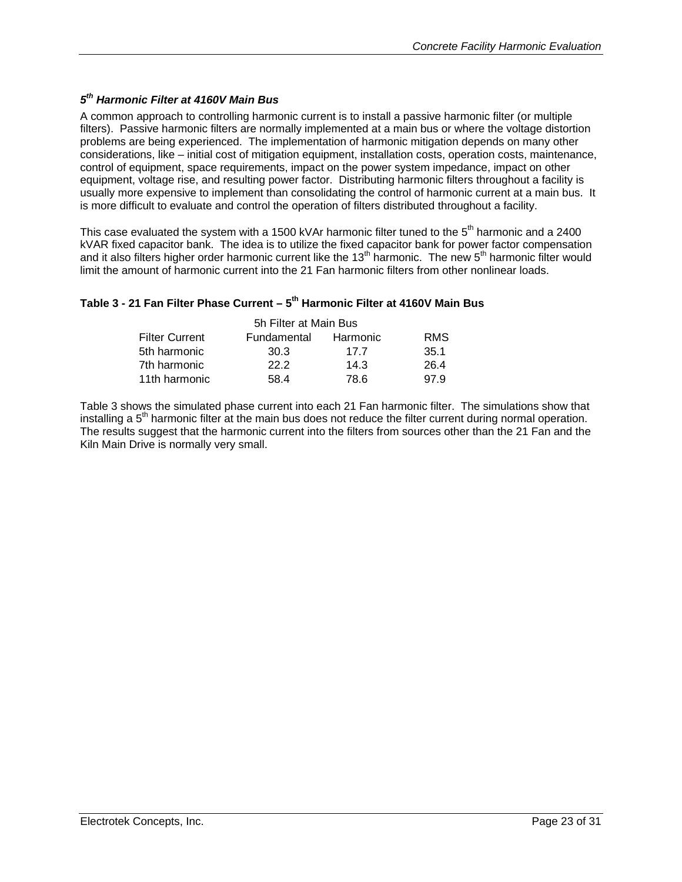#### <span id="page-22-0"></span>*5th Harmonic Filter at 4160V Main Bus*

A common approach to controlling harmonic current is to install a passive harmonic filter (or multiple filters). Passive harmonic filters are normally implemented at a main bus or where the voltage distortion problems are being experienced. The implementation of harmonic mitigation depends on many other considerations, like – initial cost of mitigation equipment, installation costs, operation costs, maintenance, control of equipment, space requirements, impact on the power system impedance, impact on other equipment, voltage rise, and resulting power factor. Distributing harmonic filters throughout a facility is usually more expensive to implement than consolidating the control of harmonic current at a main bus. It is more difficult to evaluate and control the operation of filters distributed throughout a facility.

This case evaluated the system with a 1500 kVAr harmonic filter tuned to the  $5<sup>th</sup>$  harmonic and a 2400 kVAR fixed capacitor bank. The idea is to utilize the fixed capacitor bank for power factor compensation and it also filters higher order harmonic current like the 13<sup>th</sup> harmonic. The new 5<sup>th</sup> harmonic filter would limit the amount of harmonic current into the 21 Fan harmonic filters from other nonlinear loads.

#### <span id="page-22-1"></span>**Table 3 - 21 Fan Filter Phase Current – 5th Harmonic Filter at 4160V Main Bus**

|                | 5h Filter at Main Bus |          |            |
|----------------|-----------------------|----------|------------|
| Filter Current | Fundamental           | Harmonic | <b>RMS</b> |
| 5th harmonic   | 30.3                  | 17.7     | 35.1       |
| 7th harmonic   | 22.2                  | 14.3     | 26.4       |
| 11th harmonic  | 58.4                  | 78.6     | 979        |

[Table 3](#page-22-1) shows the simulated phase current into each 21 Fan harmonic filter. The simulations show that installing a  $5<sup>th</sup>$  harmonic filter at the main bus does not reduce the filter current during normal operation. The results suggest that the harmonic current into the filters from sources other than the 21 Fan and the Kiln Main Drive is normally very small.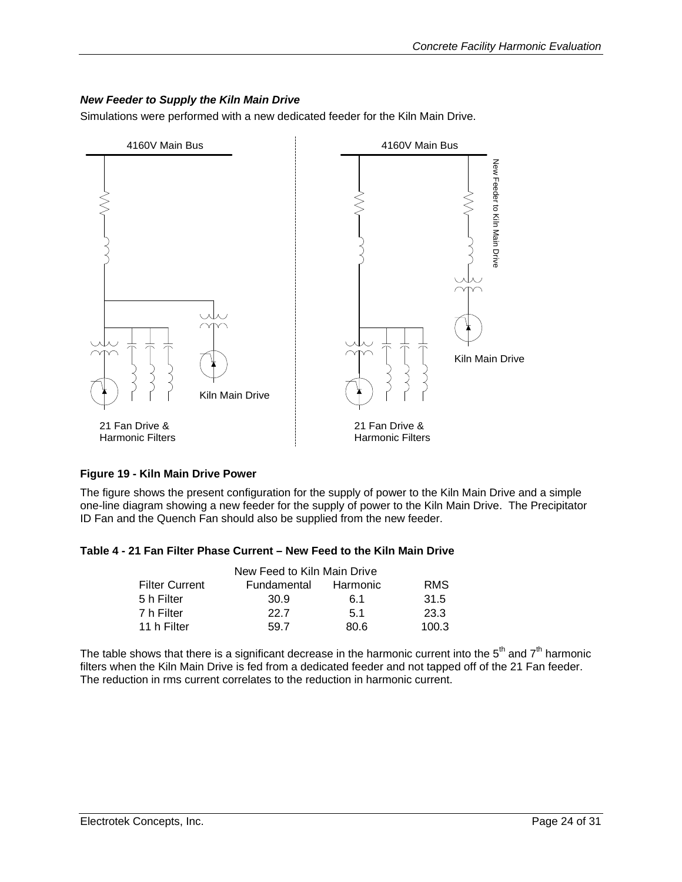#### <span id="page-23-0"></span>*New Feeder to Supply the Kiln Main Drive*

Simulations were performed with a new dedicated feeder for the Kiln Main Drive.



#### **Figure 19 - Kiln Main Drive Power**

The figure shows the present configuration for the supply of power to the Kiln Main Drive and a simple one-line diagram showing a new feeder for the supply of power to the Kiln Main Drive. The Precipitator ID Fan and the Quench Fan should also be supplied from the new feeder.

#### **Table 4 - 21 Fan Filter Phase Current – New Feed to the Kiln Main Drive**

| Fundamental | Harmonic | <b>RMS</b>                  |  |
|-------------|----------|-----------------------------|--|
| 30.9        | 61       | 31.5                        |  |
| 22 7        | 5.1      | 23.3                        |  |
| 59.7        | 80.6     | 100.3                       |  |
|             |          | New Feed to Kiln Main Drive |  |

The table shows that there is a significant decrease in the harmonic current into the  $5<sup>th</sup>$  and  $7<sup>th</sup>$  harmonic filters when the Kiln Main Drive is fed from a dedicated feeder and not tapped off of the 21 Fan feeder. The reduction in rms current correlates to the reduction in harmonic current.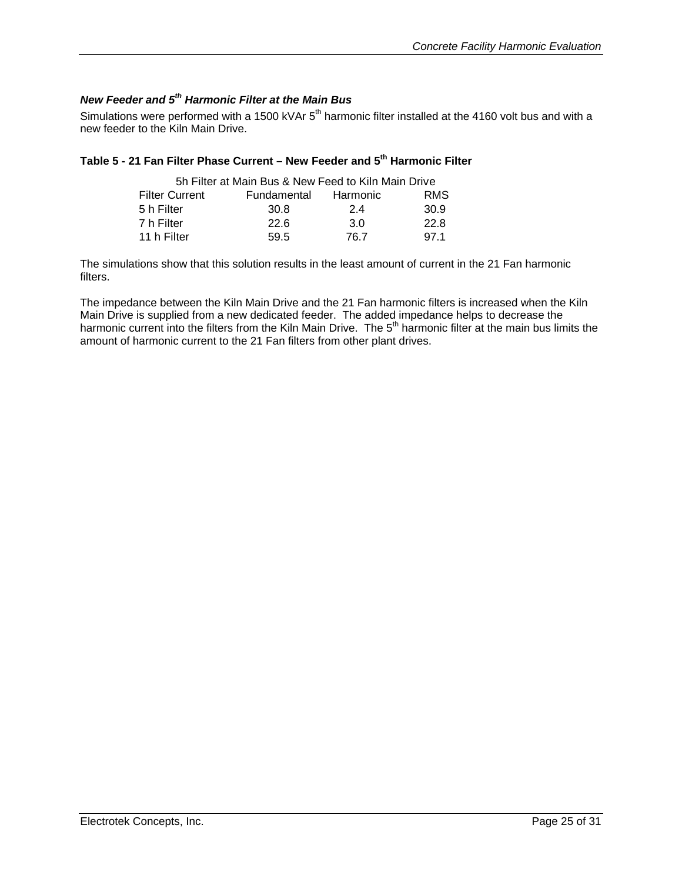#### <span id="page-24-0"></span>*New Feeder and 5th Harmonic Filter at the Main Bus*

Simulations were performed with a 1500 kVAr 5<sup>th</sup> harmonic filter installed at the 4160 volt bus and with a new feeder to the Kiln Main Drive.

#### **Table 5 - 21 Fan Filter Phase Current – New Feeder and 5th Harmonic Filter**

| 5h Filter at Main Bus & New Feed to Kiln Main Drive |          |      |  |  |  |  |
|-----------------------------------------------------|----------|------|--|--|--|--|
| Fundamental                                         | Harmonic | RMS  |  |  |  |  |
| 30.8                                                | 2.4      | 30.9 |  |  |  |  |
| 22.6                                                | 3 O      | 22.8 |  |  |  |  |
| 59.5                                                | 76 7     | 971  |  |  |  |  |
|                                                     |          |      |  |  |  |  |

The simulations show that this solution results in the least amount of current in the 21 Fan harmonic filters.

The impedance between the Kiln Main Drive and the 21 Fan harmonic filters is increased when the Kiln Main Drive is supplied from a new dedicated feeder. The added impedance helps to decrease the harmonic current into the filters from the Kiln Main Drive. The 5<sup>th</sup> harmonic filter at the main bus limits the amount of harmonic current to the 21 Fan filters from other plant drives.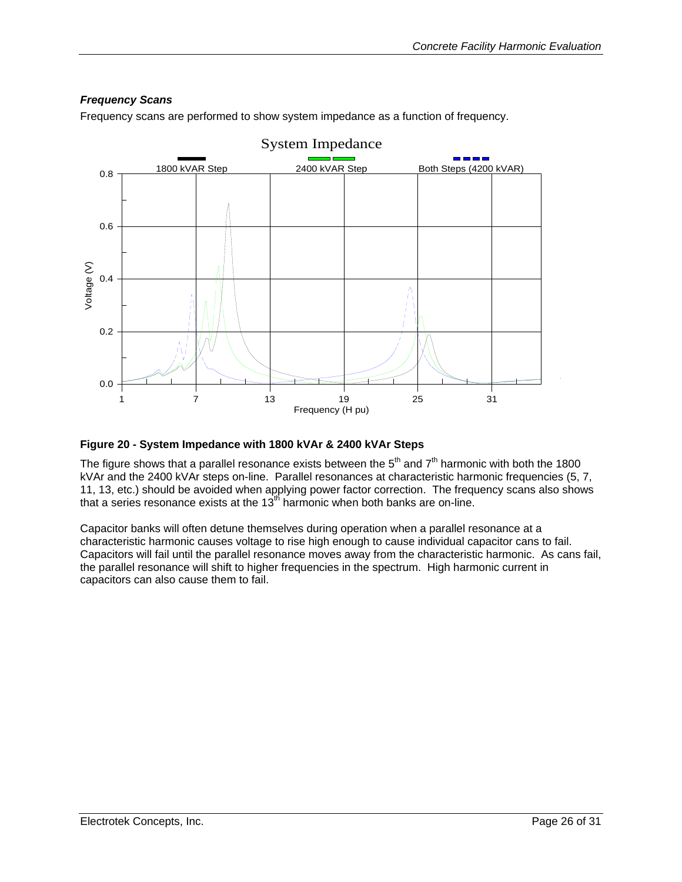#### <span id="page-25-0"></span>*Frequency Scans*

Frequency scans are performed to show system impedance as a function of frequency.



System Impedance

#### **Figure 20 - System Impedance with 1800 kVAr & 2400 kVAr Steps**

The figure shows that a parallel resonance exists between the  $5<sup>th</sup>$  and  $7<sup>th</sup>$  harmonic with both the 1800 kVAr and the 2400 kVAr steps on-line. Parallel resonances at characteristic harmonic frequencies (5, 7, 11, 13, etc.) should be avoided when applying power factor correction. The frequency scans also shows that a series resonance exists at the  $13<sup>th</sup>$  harmonic when both banks are on-line.

Capacitor banks will often detune themselves during operation when a parallel resonance at a characteristic harmonic causes voltage to rise high enough to cause individual capacitor cans to fail. Capacitors will fail until the parallel resonance moves away from the characteristic harmonic. As cans fail, the parallel resonance will shift to higher frequencies in the spectrum. High harmonic current in capacitors can also cause them to fail.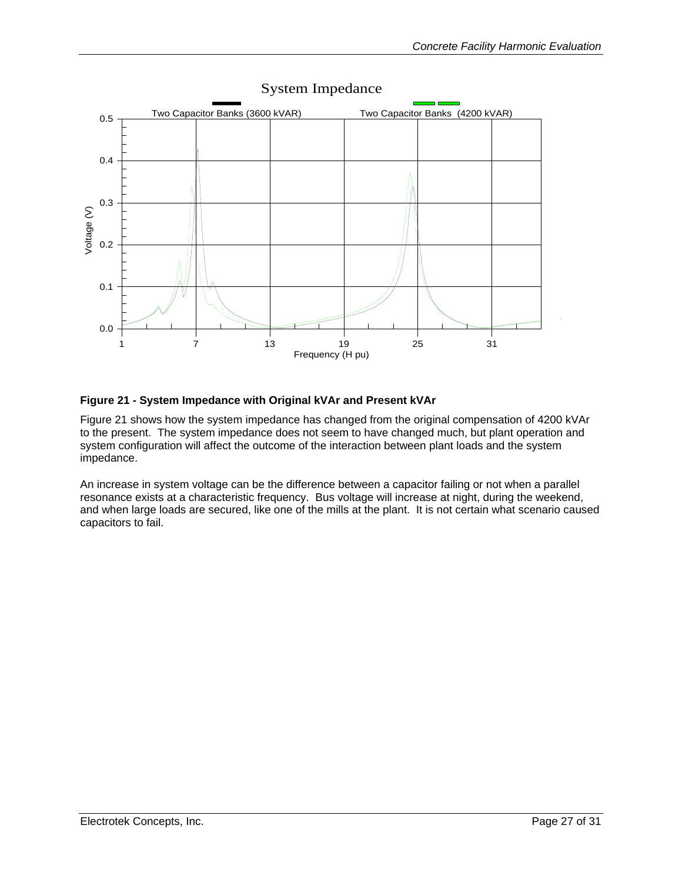<span id="page-26-0"></span>

#### System Impedance

#### <span id="page-26-1"></span>**Figure 21 - System Impedance with Original kVAr and Present kVAr**

[Figure 21](#page-26-1) shows how the system impedance has changed from the original compensation of 4200 kVAr to the present. The system impedance does not seem to have changed much, but plant operation and system configuration will affect the outcome of the interaction between plant loads and the system impedance.

An increase in system voltage can be the difference between a capacitor failing or not when a parallel resonance exists at a characteristic frequency. Bus voltage will increase at night, during the weekend, and when large loads are secured, like one of the mills at the plant. It is not certain what scenario caused capacitors to fail.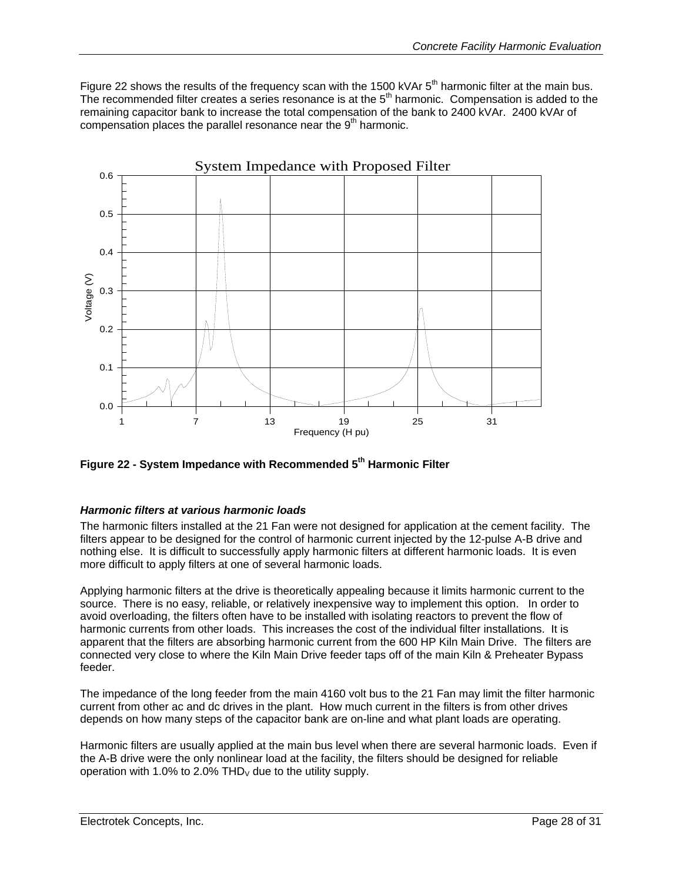<span id="page-27-0"></span>[Figure 22](#page-27-1) shows the results of the frequency scan with the 1500 kVAr  $5<sup>th</sup>$  harmonic filter at the main bus. The recommended filter creates a series resonance is at the 5<sup>th</sup> harmonic. Compensation is added to the remaining capacitor bank to increase the total compensation of the bank to 2400 kVAr. 2400 kVAr of compensation places the parallel resonance near the  $9<sup>th</sup>$  harmonic.



<span id="page-27-1"></span>Figure 22 - System Impedance with Recommended 5<sup>th</sup> Harmonic Filter

#### *Harmonic filters at various harmonic loads*

The harmonic filters installed at the 21 Fan were not designed for application at the cement facility. The filters appear to be designed for the control of harmonic current injected by the 12-pulse A-B drive and nothing else. It is difficult to successfully apply harmonic filters at different harmonic loads. It is even more difficult to apply filters at one of several harmonic loads.

Applying harmonic filters at the drive is theoretically appealing because it limits harmonic current to the source. There is no easy, reliable, or relatively inexpensive way to implement this option. In order to avoid overloading, the filters often have to be installed with isolating reactors to prevent the flow of harmonic currents from other loads. This increases the cost of the individual filter installations. It is apparent that the filters are absorbing harmonic current from the 600 HP Kiln Main Drive. The filters are connected very close to where the Kiln Main Drive feeder taps off of the main Kiln & Preheater Bypass feeder.

The impedance of the long feeder from the main 4160 volt bus to the 21 Fan may limit the filter harmonic current from other ac and dc drives in the plant. How much current in the filters is from other drives depends on how many steps of the capacitor bank are on-line and what plant loads are operating.

Harmonic filters are usually applied at the main bus level when there are several harmonic loads. Even if the A-B drive were the only nonlinear load at the facility, the filters should be designed for reliable operation with 1.0% to 2.0% THD<sub>V</sub> due to the utility supply.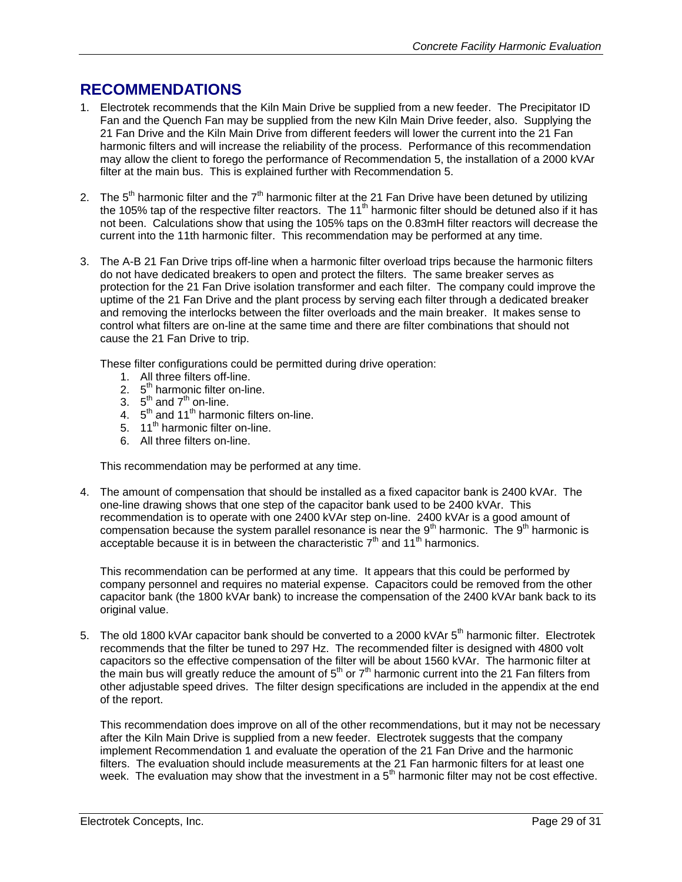### <span id="page-28-0"></span>**RECOMMENDATIONS**

- 1. Electrotek recommends that the Kiln Main Drive be supplied from a new feeder. The Precipitator ID Fan and the Quench Fan may be supplied from the new Kiln Main Drive feeder, also. Supplying the 21 Fan Drive and the Kiln Main Drive from different feeders will lower the current into the 21 Fan harmonic filters and will increase the reliability of the process. Performance of this recommendation may allow the client to forego the performance of Recommendation 5, the installation of a 2000 kVAr filter at the main bus. This is explained further with Recommendation 5.
- 2. The  $5<sup>th</sup>$  harmonic filter and the  $7<sup>th</sup>$  harmonic filter at the 21 Fan Drive have been detuned by utilizing the 105% tap of the respective filter reactors. The 11<sup>th</sup> harmonic filter should be detuned also if it has not been. Calculations show that using the 105% taps on the 0.83mH filter reactors will decrease the current into the 11th harmonic filter. This recommendation may be performed at any time.
- 3. The A-B 21 Fan Drive trips off-line when a harmonic filter overload trips because the harmonic filters do not have dedicated breakers to open and protect the filters. The same breaker serves as protection for the 21 Fan Drive isolation transformer and each filter. The company could improve the uptime of the 21 Fan Drive and the plant process by serving each filter through a dedicated breaker and removing the interlocks between the filter overloads and the main breaker. It makes sense to control what filters are on-line at the same time and there are filter combinations that should not cause the 21 Fan Drive to trip.

These filter configurations could be permitted during drive operation:

- 1. All three filters off-line.
- $2.5<sup>th</sup>$  harmonic filter on-line.
- 3.  $5^{th}$  and  $7^{th}$  on-line.
- 4.  $5<sup>th</sup>$  and 11<sup>th</sup> harmonic filters on-line.
- 5. 11<sup>th</sup> harmonic filter on-line.
- 6. All three filters on-line.

This recommendation may be performed at any time.

4. The amount of compensation that should be installed as a fixed capacitor bank is 2400 kVAr. The one-line drawing shows that one step of the capacitor bank used to be 2400 kVAr. This recommendation is to operate with one 2400 kVAr step on-line. 2400 kVAr is a good amount of compensation because the system parallel resonance is near the  $9<sup>th</sup>$  harmonic. The  $9<sup>th</sup>$  harmonic is acceptable because it is in between the characteristic  $7<sup>th</sup>$  and 11<sup>th</sup> harmonics.

This recommendation can be performed at any time. It appears that this could be performed by company personnel and requires no material expense. Capacitors could be removed from the other capacitor bank (the 1800 kVAr bank) to increase the compensation of the 2400 kVAr bank back to its original value.

5. The old 1800 kVAr capacitor bank should be converted to a 2000 kVAr  $5<sup>th</sup>$  harmonic filter. Electrotek recommends that the filter be tuned to 297 Hz. The recommended filter is designed with 4800 volt capacitors so the effective compensation of the filter will be about 1560 kVAr. The harmonic filter at the main bus will greatly reduce the amount of  $5<sup>th</sup>$  or  $7<sup>th</sup>$  harmonic current into the 21 Fan filters from other adjustable speed drives. The filter design specifications are included in the appendix at the end of the report.

This recommendation does improve on all of the other recommendations, but it may not be necessary after the Kiln Main Drive is supplied from a new feeder. Electrotek suggests that the company implement Recommendation 1 and evaluate the operation of the 21 Fan Drive and the harmonic filters. The evaluation should include measurements at the 21 Fan harmonic filters for at least one week. The evaluation may show that the investment in a 5<sup>th</sup> harmonic filter may not be cost effective.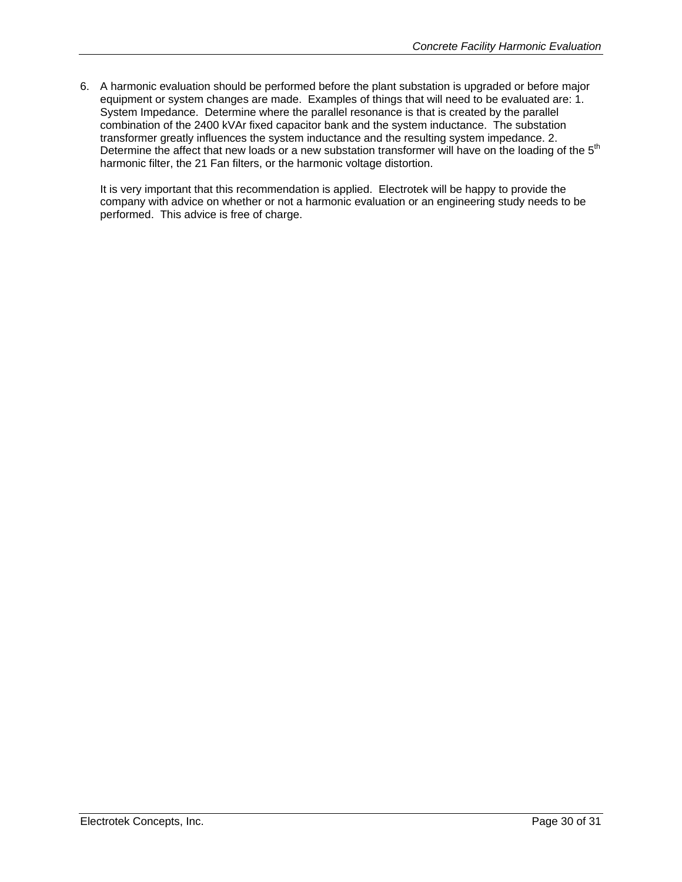6. A harmonic evaluation should be performed before the plant substation is upgraded or before major equipment or system changes are made. Examples of things that will need to be evaluated are: 1. System Impedance. Determine where the parallel resonance is that is created by the parallel combination of the 2400 kVAr fixed capacitor bank and the system inductance. The substation transformer greatly influences the system inductance and the resulting system impedance. 2. Determine the affect that new loads or a new substation transformer will have on the loading of the 5<sup>th</sup> harmonic filter, the 21 Fan filters, or the harmonic voltage distortion.

It is very important that this recommendation is applied. Electrotek will be happy to provide the company with advice on whether or not a harmonic evaluation or an engineering study needs to be performed. This advice is free of charge.